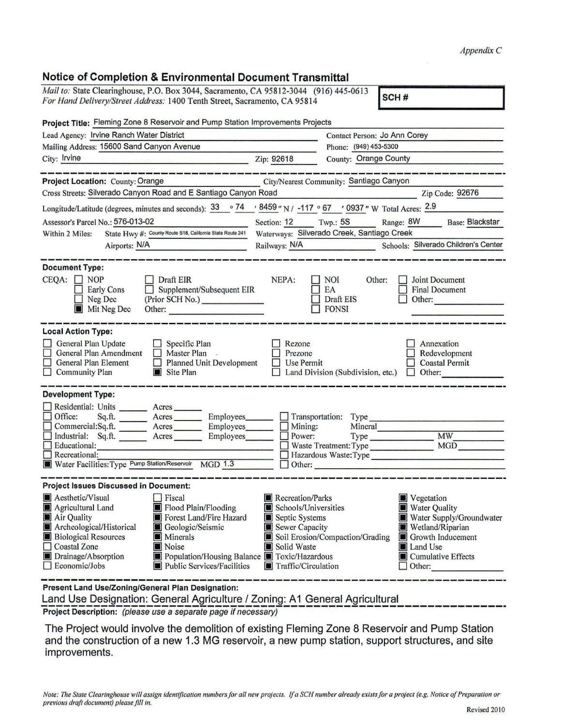## Notice of Completion & Environmental Document Transmittal

| Mail to: State Clearinghouse, P.O. Box 3044, Sacramento, CA 95812-3044 (916) 445-0613<br>SCH#<br>For Hand Delivery/Street Address: 1400 Tenth Street, Sacramento, CA 95814                           |                                                                                                                                        |  |  |  |  |  |  |
|------------------------------------------------------------------------------------------------------------------------------------------------------------------------------------------------------|----------------------------------------------------------------------------------------------------------------------------------------|--|--|--|--|--|--|
|                                                                                                                                                                                                      |                                                                                                                                        |  |  |  |  |  |  |
| Project Title: Fleming Zone 8 Reservoir and Pump Station Improvements Projects                                                                                                                       |                                                                                                                                        |  |  |  |  |  |  |
| Lead Agency: Irvine Ranch Water District                                                                                                                                                             | Contact Person: Jo Ann Corey                                                                                                           |  |  |  |  |  |  |
| Mailing Address: 15600 Sand Canyon Avenue                                                                                                                                                            | Phone: (949) 453-5300                                                                                                                  |  |  |  |  |  |  |
| City: Irvine<br><u>experience and an experience of the firm</u>                                                                                                                                      | County: Orange County<br>Zip: 92618                                                                                                    |  |  |  |  |  |  |
| Project Location: County: Orange<br>City/Nearest Community: Santiago Canyon                                                                                                                          |                                                                                                                                        |  |  |  |  |  |  |
| Cross Streets: Silverado Canyon Road and E Santiago Canyon Road                                                                                                                                      | Zip Code: 92676                                                                                                                        |  |  |  |  |  |  |
| Longitude/Latitude (degrees, minutes and seconds): $\frac{33}{9}$ $\frac{74}{9}$ $\frac{18459}{9}$ N / -117 $\degree$ 67 $\degree$ / 0937 " W Total Acres: $\frac{2.9}{9}$                           |                                                                                                                                        |  |  |  |  |  |  |
| Assessor's Parcel No.: 576-013-02                                                                                                                                                                    | Section: $12$ Twp.: $5S$<br>Range: 8W Base: Blackstar                                                                                  |  |  |  |  |  |  |
| State Hwy #: County Route S18, California State Route 241<br>Within 2 Miles:                                                                                                                         | Waterways: Silverado Creek, Santiago Creek                                                                                             |  |  |  |  |  |  |
| Airports: N/A                                                                                                                                                                                        | Railways: N/A<br>Schools: Silverado Children's Center                                                                                  |  |  |  |  |  |  |
|                                                                                                                                                                                                      |                                                                                                                                        |  |  |  |  |  |  |
| <b>Document Type:</b><br>$CEQA: \Box NOP$<br>Draft EIR<br>$\Box$ Supplement/Subsequent EIR<br>Early Cons<br>(Prior SCH No.)<br>Neg Dec<br>Mit Neg Dec<br>Other:                                      | NEPA:<br><b>NOI</b><br>Joint Document<br>Other:<br>EA<br><b>Final Document</b><br>Draft EIS<br>Other:<br><b>FONSI</b>                  |  |  |  |  |  |  |
| <b>Local Action Type:</b>                                                                                                                                                                            |                                                                                                                                        |  |  |  |  |  |  |
| General Plan Update<br>$\Box$ Specific Plan<br>General Plan Amendment<br>Master Plan<br>General Plan Element<br>$\Box$ Planned Unit Development<br>$\Box$ Community Plan<br>$\blacksquare$ Site Plan | Rezone<br>Annexation<br>Prezone<br>Redevelopment<br>Use Permit<br><b>Coastal Permit</b><br>Land Division (Subdivision, etc.)<br>Other: |  |  |  |  |  |  |
| <b>Development Type:</b>                                                                                                                                                                             |                                                                                                                                        |  |  |  |  |  |  |
| Residential: Units ________ Acres                                                                                                                                                                    |                                                                                                                                        |  |  |  |  |  |  |
| Office:<br>Sq.ft.<br>Acres<br>Employees________                                                                                                                                                      | $\Box$ Transportation:<br>Type                                                                                                         |  |  |  |  |  |  |
| Commercial:Sq.ft. ________ Acres ________ Employees_______<br>Industrial: Sq.ft. _______ Acres                                                                                                       | $\Box$ Mining:<br>Mineral<br><b>MW</b><br>$\Box$ Power:                                                                                |  |  |  |  |  |  |
| Employees_______<br>Educational:                                                                                                                                                                     | Type<br>Waste Treatment: Type<br>MGD                                                                                                   |  |  |  |  |  |  |
| $\Box$ Recreational:<br>Hazardous Waste: Type                                                                                                                                                        |                                                                                                                                        |  |  |  |  |  |  |
| Water Facilities: Type Pump Station/Reservoir MGD 1.3                                                                                                                                                | Other:                                                                                                                                 |  |  |  |  |  |  |
| <b>Project Issues Discussed in Document:</b>                                                                                                                                                         |                                                                                                                                        |  |  |  |  |  |  |
| Aesthetic/Visual<br>Fiscal                                                                                                                                                                           | Recreation/Parks<br>Vegetation                                                                                                         |  |  |  |  |  |  |
| Agricultural Land<br>Flood Plain/Flooding                                                                                                                                                            | Schools/Universities<br>Water Quality                                                                                                  |  |  |  |  |  |  |
| Forest Land/Fire Hazard<br>Air Quality                                                                                                                                                               | Water Supply/Groundwater<br>Septic Systems                                                                                             |  |  |  |  |  |  |
| Archeological/Historical<br>Geologic/Seismic<br><b>Biological Resources</b><br><b>M</b> Minerals                                                                                                     | Sewer Capacity<br>Wetland/Riparian<br>Soil Erosion/Compaction/Grading<br>Growth Inducement                                             |  |  |  |  |  |  |
| Coastal Zone<br>Noise                                                                                                                                                                                | Solid Waste<br>Land Use                                                                                                                |  |  |  |  |  |  |
| Drainage/Absorption<br>Population/Housing Balance <b>T</b> Toxic/Hazardous                                                                                                                           | Cumulative Effects                                                                                                                     |  |  |  |  |  |  |
| Economic/Jobs<br>Public Services/Facilities                                                                                                                                                          | Traffic/Circulation<br>$\Box$ Other:                                                                                                   |  |  |  |  |  |  |
| Present Land Use/Zoning/General Plan Designation:<br>Land Llee Designation: Conoral Agriculture / Zeping: A1 Conoral Agricultural                                                                    |                                                                                                                                        |  |  |  |  |  |  |

Land Use Designation: General Agriculture / Zoning: A1 General Agricultural<br>Project Description: *(please use a separate page if necessary)* 

The Project would involve the demolition of existing Fleming Zone 8 Reservoir and Pump Station and the construction of a new 1.3 MG reservoir, a new pump station, support structures, and site improvements.